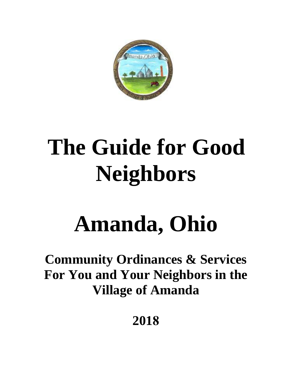

# **The Guide for Good Neighbors**

## **Amanda, Ohio**

## **Community Ordinances & Services For You and Your Neighbors in the Village of Amanda**

**2018**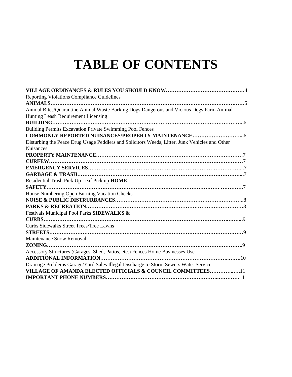## **TABLE OF CONTENTS**

| <b>Reporting Violations Compliance Guidelines</b>                                              |
|------------------------------------------------------------------------------------------------|
|                                                                                                |
| Animal Bites/Quarantine Animal Waste Barking Dogs Dangerous and Vicious Dogs Farm Animal       |
| Hunting Leash Requirement Licensing                                                            |
|                                                                                                |
| Building Permits Excavation Private Swimming Pool Fences                                       |
|                                                                                                |
| Disturbing the Peace Drug Usage Peddlers and Solicitors Weeds, Litter, Junk Vehicles and Other |
| <b>Nuisances</b>                                                                               |
|                                                                                                |
| <b>CURFEW</b>                                                                                  |
|                                                                                                |
|                                                                                                |
| Residential Trash Pick Up Leaf Pick up HOME                                                    |
| SAFETY                                                                                         |
| House Numbering Open Burning Vacation Checks                                                   |
|                                                                                                |
|                                                                                                |
| Festivals Municipal Pool Parks SIDEWALKS &                                                     |
|                                                                                                |
| Curbs Sidewalks Street Trees/Tree Lawns                                                        |
|                                                                                                |
| <b>Maintenance Snow Removal</b>                                                                |
|                                                                                                |
| Accessory Structures (Garages, Shed, Patios, etc.) Fences Home Businesses Use                  |
|                                                                                                |
| Drainage Problems Garage/Yard Sales Illegal Discharge to Storm Sewers Water Service            |
| VILLAGE OF AMANDA ELECTED OFFICIALS & COUNCIL COMMITTEES11                                     |
|                                                                                                |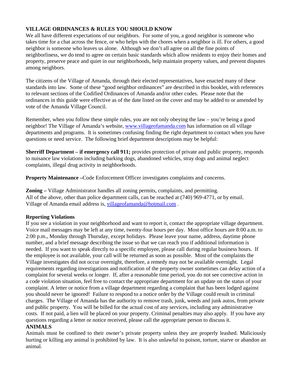#### **VILLAGE ORDINANCES & RULES YOU SHOULD KNOW**

We all have different expectations of our neighbors. For some of you, a good neighbor is someone who takes time for a chat across the fence, or who helps with the chores when a neighbor is ill. For others, a good neighbor is someone who leaves us alone. Although we don't all agree on all the fine points of neighborliness, we do tend to agree on certain basic standards which allow residents to enjoy their homes and property, preserve peace and quiet in our neighborhoods, help maintain property values, and prevent disputes among neighbors.

The citizens of the Village of Amanda, through their elected representatives, have enacted many of these standards into law. Some of these "good neighbor ordinances" are described in this booklet, with references to relevant sections of the Codified Ordinances of Amanda and/or other codes. Please note that the ordinances in this guide were effective as of the date listed on the cover and may be added to or amended by vote of the Amanda Village Council.

Remember, when you follow these simple rules, you are not only obeying the law – you're being a good neighbor! The Village of Amanda's website, www.villageofamanda.com has information on all village departments and programs. It is sometimes confusing finding the right department to contact when you have questions or need service. The following brief department descriptions may be helpful:

**Sherriff Department – if emergency call 911;** provides protection of private and public property, responds to nuisance law violations including barking dogs, abandoned vehicles, stray dogs and animal neglect complaints, illegal drug activity in neighborhoods.

**Property Maintenance –**Code Enforcement Officer investigates complaints and concerns.

**Zoning –** Village Administrator handles all zoning permits, complaints, and permitting. All of the above, other than police department calls, can be reached at (740) 969-4771, or by email. Village of Amanda email address is, [villageofamanda@hotmail.com](mailto:villageofamanda@hotmail.com) .

#### **Reporting Violations**

If you see a violation in your neighborhood and want to report it, contact the appropriate village department. Voice mail messages may be left at any time, twenty-four hours per day. Most office hours are 8:00 a.m. to 2:00 p.m., Monday through Thursday, except holidays. Please leave your name, address, daytime phone number, and a brief message describing the issue so that we can reach you if additional information is needed. If you want to speak directly to a specific employee, please call during regular business hours. If the employee is not available, your call will be returned as soon as possible. Most of the complaints the Village investigates did not occur overnight, therefore, a remedy may not be available overnight. Legal requirements regarding investigations and notification of the property owner sometimes can delay action of a complaint for several weeks or longer. If, after a reasonable time period, you do not see corrective action in a code violation situation, feel free to contact the appropriate department for an update on the status of your complaint. A letter or notice from a village department regarding a complaint that has been lodged against you should never be ignored! Failure to respond to a notice order by the Village could result in criminal charges. The Village of Amanda has the authority to remove trash, junk, weeds and junk autos, from private and public property. You will be billed for the actual cost of any services, including any administrative costs. If not paid, a lien will be placed on your property. Criminal penalties may also apply. If you have any questions regarding a letter or notice received, please call the appropriate person to discuss it.

#### **ANIMALS**

Animals must be confined to their owner's private property unless they are properly leashed. Maliciously hurting or killing any animal is prohibited by law. It is also unlawful to poison, torture, starve or abandon an animal.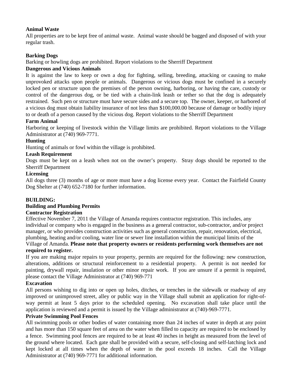#### **Animal Waste**

All properties are to be kept free of animal waste. Animal waste should be bagged and disposed of with your regular trash.

#### **Barking Dogs**

Barking or howling dogs are prohibited. Report violations to the Sherriff Department

#### **Dangerous and Vicious Animals**

It is against the law to keep or own a dog for fighting, selling, breeding, attacking or causing to make unprovoked attacks upon people or animals. Dangerous or vicious dogs must be confined in a securely locked pen or structure upon the premises of the person owning, harboring, or having the care, custody or control of the dangerous dog, or be tied with a chain-link leash or tether so that the dog is adequately restrained. Such pen or structure must have secure sides and a secure top. The owner, keeper, or harbored of a vicious dog must obtain liability insurance of not less than \$100,000.00 because of damage or bodily injury to or death of a person caused by the vicious dog. Report violations to the Sherriff Department

#### **Farm Animal**

Harboring or keeping of livestock within the Village limits are prohibited. Report violations to the Village Administrator at (740) 969-7771.

#### **Hunting**

Hunting of animals or fowl within the village is prohibited.

#### **Leash Requirement**

Dogs must be kept on a leash when not on the owner's property. Stray dogs should be reported to the Sherriff Department

#### **Licensing**

All dogs three (3) months of age or more must have a dog license every year. Contact the Fairfield County Dog Shelter at (740) 652-7180 for further information.

#### **BUILDING:**

#### **Building and Plumbing Permits**

#### **Contractor Registration**

Effective November 7, 2011 the Village of Amanda requires contractor registration. This includes, any individual or company who is engaged in the business as a general contractor, sub-contractor, and/or project manager, or who provides construction activities such as general construction, repair, renovation, electrical, plumbing, heating and/or cooling, water line or sewer line installation within the municipal limits of the Village of Amanda. **Please note that property owners or residents performing work themselves are not** 

#### **required to register.**

If you are making major repairs to your property, permits are required for the following: new construction, alterations, additions or structural reinforcement to a residential property. A permit is not needed for painting, drywall repair, insulation or other minor repair work. If you are unsure if a permit is required, please contact the Village Administrator at (740) 969-771

#### **Excavation**

All persons wishing to dig into or open up holes, ditches, or trenches in the sidewalk or roadway of any improved or unimproved street, alley or public way in the Village shall submit an application for right-ofway permit at least 5 days prior to the scheduled opening. No excavation shall take place until the application is reviewed and a permit is issued by the Village administrator at (740)-969-7771.

#### **Private Swimming Pool Fences**

All swimming pools or other bodies of water containing more than 24 inches of water in depth at any point and has more than 150 square feet of area on the water when filled to capacity are required to be enclosed by a fence. Swimming pool fences are required to be at least 40 inches in height as measured from the level of the ground where located. Each gate shall be provided with a secure, self-closing and self-latching lock and kept locked at all times when the depth of water in the pool exceeds 18 inches. Call the Village Administrator at (740) 969-7771 for additional information.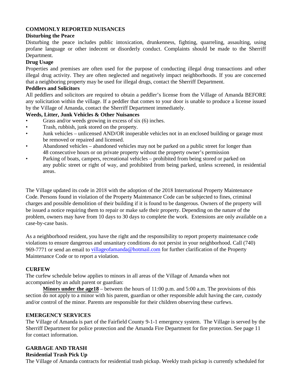#### **COMMONLY REPORTED NUISANCES**

#### **Disturbing the Peace**

Disturbing the peace includes public intoxication, drunkenness, fighting, quarreling, assaulting, using profane language or other indecent or disorderly conduct. Complaints should be made to the Sherriff Department.

#### **Drug Usage**

Properties and premises are often used for the purpose of conducting illegal drug transactions and other illegal drug activity. They are often neglected and negatively impact neighborhoods. If you are concerned that a neighboring property may be used for illegal drugs, contact the Sherriff Department.

#### **Peddlers and Solicitors**

All peddlers and solicitors are required to obtain a peddler's license from the Village of Amanda BEFORE any solicitation within the village. If a peddler that comes to your door is unable to produce a license issued by the Village of Amanda, contact the Sherriff Department immediately.

#### **Weeds, Litter, Junk Vehicles & Other Nuisances**

- Grass and/or weeds growing in excess of six (6) inches.
- Trash, rubbish, junk stored on the property.
- Junk vehicles unlicensed AND/OR inoperable vehicles not in an enclosed building or garage must be removed or repaired and licensed.
- Abandoned vehicles abandoned vehicles may not be parked on a public street for longer than 48 consecutive hours or on private property without the property owner's permission
- Parking of boats, campers, recreational vehicles prohibited from being stored or parked on any public street or right of way, and prohibited from being parked, unless screened, in residential areas.

The Village updated its code in 2018 with the adoption of the 2018 International Property Maintenance Code. Persons found in violation of the Property Maintenance Code can be subjected to fines, criminal charges and possible demolition of their building if it is found to be dangerous. Owners of the property will be issued a notice requiring them to repair or make safe their property. Depending on the nature of the problem, owners may have from 10 days to 30 days to complete the work. Extensions are only available on a case-by-case basis.

As a neighborhood resident, you have the right and the responsibility to report property maintenance code violations to ensure dangerous and unsanitary conditions do not persist in your neighborhood. Call (740) 969-7771 or send an email to [villageofamanda@hotmail.com](mailto:villageofamanda@hotmail.com) for further clarification of the Property Maintenance Code or to report a violation.

#### **CURFEW**

The curfew schedule below applies to minors in all areas of the Village of Amanda when not accompanied by an adult parent or guardian:

**Minors under the age18** – between the hours of 11:00 p.m. and 5:00 a.m. The provisions of this section do not apply to a minor with his parent, guardian or other responsible adult having the care, custody and/or control of the minor. Parents are responsible for their children observing these curfews.

#### **EMERGENCY SERVICES**

The Village of Amanda is part of the Fairfield County 9-1-1 emergency system. The Village is served by the Sherriff Department for police protection and the Amanda Fire Department for fire protection. See page 11 for contact information.

#### **GARBAGE AND TRASH**

#### **Residential Trash Pick Up**

The Village of Amanda contracts for residential trash pickup. Weekly trash pickup is currently scheduled for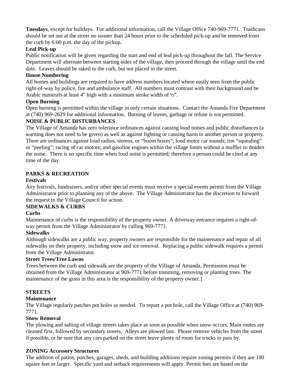**Tuesdays**, except for holidays. For additional information, call the Village Office 740-969-7771. Trashcans should be set out at the street no sooner than 24 hours prior to the scheduled pick-up and be removed from the curb by 6:00 p.m. the day of the pickup.

#### **Leaf Pick-up**

Public notification will be given regarding the start and end of leaf pick-up throughout the fall. The Service Department will alternate between starting sides of the village, then proceed through the village until the end date. Leaves should be raked to the curb, but not placed in the street.

#### **House Numbering**

All homes and buildings are required to have address numbers located where easily seen from the public right-of-way by police, fire and ambulance staff. All numbers must contrast with their background and be Arabic numerals at least 4" high with a minimum stroke width of ½".

#### **Open Burning**

Open burning is permitted within the village in only certain situations. Contact the Amanda Fire Department at (740) 969-2629 for additional information. Burning of leaves, garbage or refuse is not permitted.

#### **NOISE & PUBLIC DISTURBANCES**

The Village of Amanda has zero tolerance ordinances against causing loud noises and public disturbances (a warning does not need to be given) as well as against fighting or causing harm to another person or property. There are ordinances against loud radios, stereos, or "boom boxes"; loud motor car sounds; tire "squealing" or "peeling"; racing of car motors; and gasoline engines within the village limits without a muffler to deaden the noise. There is no specific time when loud noise is permitted; therefore a person could be cited at any time of the day.

#### **PARKS & RECREATION**

#### **Festivals**

Any festivals, fundraisers, and/or other special events must receive a special events permit from the Village Administrator prior to planning any of the above. The Village Administrator has the discretion to forward the request to the Village Council for action.

#### **SIDEWALKS & CURBS**

#### **Curbs**

Maintenance of curbs is the responsibility of the property owner. A driveway entrance requires a right-ofway permit from the Village Administrator by calling 969-7771.

#### **Sidewalks**

Although sidewalks are a public way, property owners are responsible for the maintenance and repair of all sidewalks on their property, including snow and ice removal. Replacing a public sidewalk requires a permit from the Village Administrator.

#### **Street Trees/Tree Lawns**

Trees between the curb and sidewalk are the property of the Village of Amanda. Permission must be obtained from the Village Administrator at 969-7771 before trimming, removing or planting trees. The maintenance of the grass in this area is the responsibility of the property owner.]

#### **STREETS**

#### **Maintenance**

The Village regularly patches pot holes as needed. To report a pot hole, call the Village Office at (740) 969- 7771.

#### **Snow Removal**

The plowing and salting of village streets takes place as soon as possible when snow occurs. Main routes are cleaned first, followed by secondary streets. Alleys are plowed last. Please remove vehicles from the street if possible, or be sure that any cars parked on the street leave plenty of room for trucks to pass by.

#### **ZONING Accessory Structures**

The addition of patios, porches, garages, sheds, and building additions require zoning permits if they are 100 square feet or larger. Specific yard and setback requirements will apply. Permit fees are based on the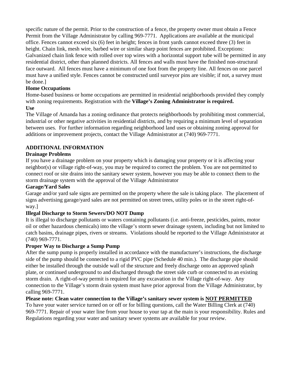specific nature of the permit. Prior to the construction of a fence, the property owner must obtain a Fence Permit from the Village Administrator by calling 969-7771. Applications are available at the municipal office. Fences cannot exceed six (6) feet in height; fences in front yards cannot exceed three (3) feet in height. Chain link, mesh wire, barbed wire or similar sharp point fences are prohibited. Exceptions: Galvanized chain link fence with rolled over top wires with a horizontal support tube will be permitted in any residential district, other than planned districts. All fences and walls must have the finished non-structural face outward. All fences must have a minimum of one foot from the property line. All fences on one parcel must have a unified style. Fences cannot be constructed until surveyor pins are visible; if not, a survey must be done.]

#### **Home Occupations**

Home-based business or home occupations are permitted in residential neighborhoods provided they comply with zoning requirements. Registration with the **Village's Zoning Administrator is required. Use** 

The Village of Amanda has a zoning ordinance that protects neighborhoods by prohibiting most commercial, industrial or other negative activities in residential districts, and by requiring a minimum level of separation between uses. For further information regarding neighborhood land uses or obtaining zoning approval for additions or improvement projects, contact the Village Administrator at (740) 969-7771.

#### **ADDITIONAL INFORMATION**

#### **Drainage Problems**

If you have a drainage problem on your property which is damaging your property or it is affecting your neighbor(s) or village right-of-way, you may be required to correct the problem. You are not permitted to connect roof or site drains into the sanitary sewer system, however you may be able to connect them to the storm drainage system with the approval of the Village Administrator

#### **Garage/Yard Sales**

Garage and/or yard sale signs are permitted on the property where the sale is taking place. The placement of signs advertising garage/yard sales are not permitted on street trees, utility poles or in the street right-ofway.]

#### **Illegal Discharge to Storm Sewers/DO NOT Dump**

It is illegal to discharge pollutants or waters containing pollutants (i.e. anti-freeze, pesticides, paints, motor oil or other hazardous chemicals) into the village's storm sewer drainage system, including but not limited to catch basins, drainage pipes, rivers or streams. Violations should be reported to the Village Administrator at (740) 969-7771.

#### **Proper Way to Discharge a Sump Pump**

After the sump pump is properly installed in accordance with the manufacturer's instructions, the discharge side of the pump should be connected to a rigid PVC pipe (Schedule 40 min.). The discharge pipe should either be installed through the outside wall of the structure and freely discharge onto an approved splash plate, or continued underground to and discharged through the street side curb or connected to an existing storm drain. A right-of-way permit is required for any excavation in the Village right-of-way. Any connection to the Village's storm drain system must have prior approval from the Village Administrator, by calling 969-7771.

#### **Please note: Clean water connection to the Village's sanitary sewer system is NOT PERMITTED**

To have your water service turned on or off or for billing questions, call the Water Billing Clerk at (740) 969-7771. Repair of your water line from your house to your tap at the main is your responsibility. Rules and Regulations regarding your water and sanitary sewer systems are available for your review.